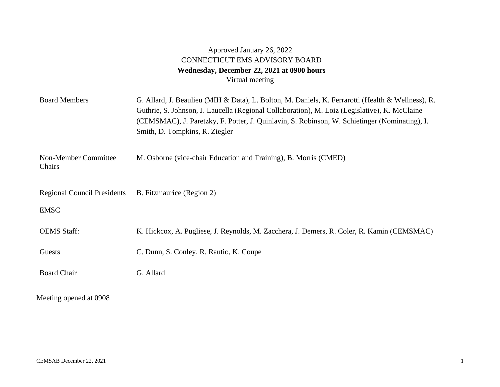## Approved January 26, 2022 CONNECTICUT EMS ADVISORY BOARD **Wednesday, December 22, 2021 at 0900 hours**  Virtual meeting

| <b>Board Members</b>                              | G. Allard, J. Beaulieu (MIH & Data), L. Bolton, M. Daniels, K. Ferrarotti (Health & Wellness), R.<br>Guthrie, S. Johnson, J. Laucella (Regional Collaboration), M. Loiz (Legislative), K. McClaine<br>(CEMSMAC), J. Paretzky, F. Potter, J. Quinlavin, S. Robinson, W. Schietinger (Nominating), I.<br>Smith, D. Tompkins, R. Ziegler |
|---------------------------------------------------|---------------------------------------------------------------------------------------------------------------------------------------------------------------------------------------------------------------------------------------------------------------------------------------------------------------------------------------|
| Non-Member Committee<br>Chairs                    | M. Osborne (vice-chair Education and Training), B. Morris (CMED)                                                                                                                                                                                                                                                                      |
| <b>Regional Council Presidents</b><br><b>EMSC</b> | B. Fitzmaurice (Region 2)                                                                                                                                                                                                                                                                                                             |
| <b>OEMS</b> Staff:                                | K. Hickcox, A. Pugliese, J. Reynolds, M. Zacchera, J. Demers, R. Coler, R. Kamin (CEMSMAC)                                                                                                                                                                                                                                            |
| Guests                                            | C. Dunn, S. Conley, R. Rautio, K. Coupe                                                                                                                                                                                                                                                                                               |
| <b>Board Chair</b>                                | G. Allard                                                                                                                                                                                                                                                                                                                             |
| Meeting opened at 0908                            |                                                                                                                                                                                                                                                                                                                                       |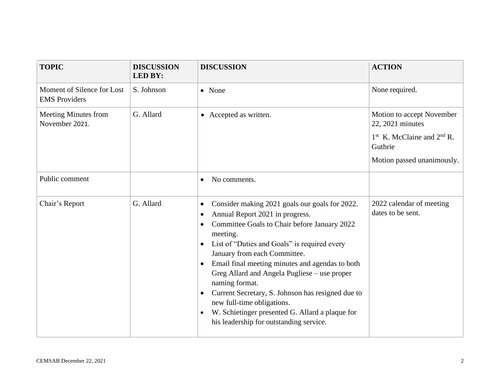| <b>TOPIC</b>                                       | <b>DISCUSSION</b><br><b>LED BY:</b> | <b>DISCUSSION</b>                                                                                                                                                                                                                                                                                                                                                                                                                                                                                                                                               | <b>ACTION</b>                                                                                                            |
|----------------------------------------------------|-------------------------------------|-----------------------------------------------------------------------------------------------------------------------------------------------------------------------------------------------------------------------------------------------------------------------------------------------------------------------------------------------------------------------------------------------------------------------------------------------------------------------------------------------------------------------------------------------------------------|--------------------------------------------------------------------------------------------------------------------------|
| Moment of Silence for Lost<br><b>EMS</b> Providers | S. Johnson                          | • None                                                                                                                                                                                                                                                                                                                                                                                                                                                                                                                                                          | None required.                                                                                                           |
| <b>Meeting Minutes from</b><br>November 2021.      | G. Allard                           | • Accepted as written.                                                                                                                                                                                                                                                                                                                                                                                                                                                                                                                                          | Motion to accept November<br>22, 2021 minutes<br>$1st$ K. McClaine and $2nd$ R.<br>Guthrie<br>Motion passed unanimously. |
| Public comment                                     |                                     | No comments.<br>$\bullet$                                                                                                                                                                                                                                                                                                                                                                                                                                                                                                                                       |                                                                                                                          |
| Chair's Report                                     | G. Allard                           | Consider making 2021 goals our goals for 2022.<br>٠<br>Annual Report 2021 in progress.<br>٠<br>Committee Goals to Chair before January 2022<br>٠<br>meeting.<br>List of "Duties and Goals" is required every<br>$\bullet$<br>January from each Committee.<br>Email final meeting minutes and agendas to both<br>Greg Allard and Angela Pugliese – use proper<br>naming format.<br>Current Secretary, S. Johnson has resigned due to<br>new full-time obligations.<br>W. Schietinger presented G. Allard a plaque for<br>his leadership for outstanding service. | 2022 calendar of meeting<br>dates to be sent.                                                                            |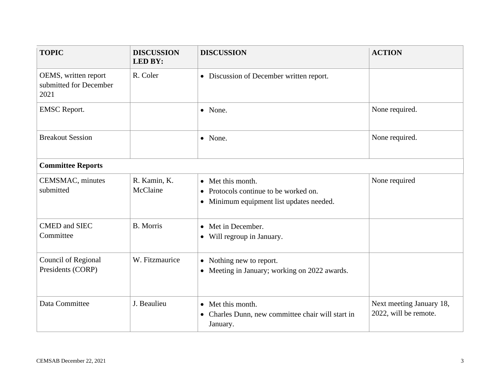| <b>TOPIC</b>                                           | <b>DISCUSSION</b><br><b>LED BY:</b> | <b>DISCUSSION</b>                                                                                      | <b>ACTION</b>                                     |  |  |
|--------------------------------------------------------|-------------------------------------|--------------------------------------------------------------------------------------------------------|---------------------------------------------------|--|--|
| OEMS, written report<br>submitted for December<br>2021 | R. Coler                            | • Discussion of December written report.                                                               |                                                   |  |  |
| <b>EMSC</b> Report.                                    |                                     | • None.                                                                                                | None required.                                    |  |  |
| <b>Breakout Session</b>                                |                                     | • None.                                                                                                | None required.                                    |  |  |
| <b>Committee Reports</b>                               |                                     |                                                                                                        |                                                   |  |  |
| CEMSMAC, minutes<br>submitted                          | R. Kamin, K.<br>McClaine            | • Met this month.<br>• Protocols continue to be worked on.<br>• Minimum equipment list updates needed. | None required                                     |  |  |
| <b>CMED</b> and SIEC<br>Committee                      | <b>B.</b> Morris                    | • Met in December.<br>• Will regroup in January.                                                       |                                                   |  |  |
| Council of Regional<br>Presidents (CORP)               | W. Fitzmaurice                      | • Nothing new to report.<br>• Meeting in January; working on 2022 awards.                              |                                                   |  |  |
| Data Committee                                         | J. Beaulieu                         | • Met this month.<br>Charles Dunn, new committee chair will start in<br>$\bullet$<br>January.          | Next meeting January 18,<br>2022, will be remote. |  |  |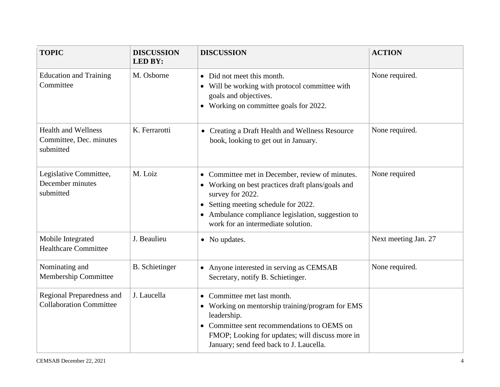| <b>TOPIC</b>                                                       | <b>DISCUSSION</b><br><b>LED BY:</b> | <b>DISCUSSION</b>                                                                                                                                                                                                                                           | <b>ACTION</b>        |
|--------------------------------------------------------------------|-------------------------------------|-------------------------------------------------------------------------------------------------------------------------------------------------------------------------------------------------------------------------------------------------------------|----------------------|
| <b>Education and Training</b><br>Committee                         | M. Osborne                          | • Did not meet this month.<br>• Will be working with protocol committee with<br>goals and objectives.<br>• Working on committee goals for 2022.                                                                                                             | None required.       |
| <b>Health and Wellness</b><br>Committee, Dec. minutes<br>submitted | K. Ferrarotti                       | • Creating a Draft Health and Wellness Resource<br>book, looking to get out in January.                                                                                                                                                                     | None required.       |
| Legislative Committee,<br>December minutes<br>submitted            | M. Loiz                             | • Committee met in December, review of minutes.<br>• Working on best practices draft plans/goals and<br>survey for 2022.<br>• Setting meeting schedule for 2022.<br>• Ambulance compliance legislation, suggestion to<br>work for an intermediate solution. | None required        |
| Mobile Integrated<br><b>Healthcare Committee</b>                   | J. Beaulieu                         | • No updates.                                                                                                                                                                                                                                               | Next meeting Jan. 27 |
| Nominating and<br>Membership Committee                             | <b>B.</b> Schietinger               | • Anyone interested in serving as CEMSAB<br>Secretary, notify B. Schietinger.                                                                                                                                                                               | None required.       |
| Regional Preparedness and<br><b>Collaboration Committee</b>        | J. Laucella                         | Committee met last month.<br>Working on mentorship training/program for EMS<br>$\bullet$<br>leadership.<br>• Committee sent recommendations to OEMS on<br>FMOP; Looking for updates; will discuss more in<br>January; send feed back to J. Laucella.        |                      |